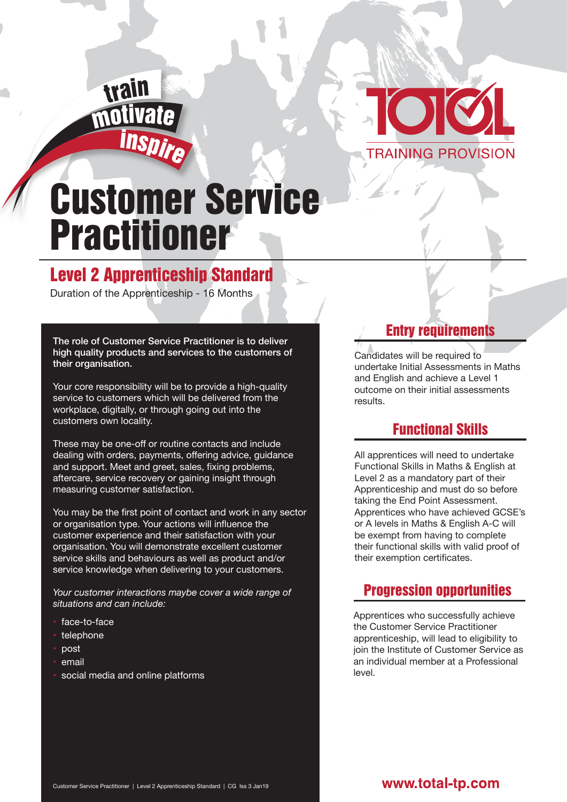



# Customer Service Practitioner

## Level 2 Apprenticeship Standard

Duration of the Apprenticeship - 16 Months

The role of Customer Service Practitioner is to deliver high quality products and services to the customers of their organisation.

Your core responsibility will be to provide a high-quality service to customers which will be delivered from the workplace, digitally, or through going out into the customers own locality.

These may be one-off or routine contacts and include dealing with orders, payments, offering advice, guidance and support. Meet and greet, sales, fixing problems, aftercare, service recovery or gaining insight through measuring customer satisfaction.

You may be the first point of contact and work in any sector or organisation type. Your actions will influence the customer experience and their satisfaction with your organisation. You will demonstrate excellent customer service skills and behaviours as well as product and/or service knowledge when delivering to your customers.

*Your customer interactions maybe cover a wide range of situations and can include:*

- face-to-face
- telephone
- post
- email
- social media and online platforms

#### Entry requirements

Candidates will be required to undertake Initial Assessments in Maths and English and achieve a Level 1 outcome on their initial assessments results.

## Functional Skills

All apprentices will need to undertake Functional Skills in Maths & English at Level 2 as a mandatory part of their Apprenticeship and must do so before taking the End Point Assessment. Apprentices who have achieved GCSE's or A levels in Maths & English A-C will be exempt from having to complete their functional skills with valid proof of their exemption certificates.

### Progression opportunities

Apprentices who successfully achieve the Customer Service Practitioner apprenticeship, will lead to eligibility to join the Institute of Customer Service as an individual member at a Professional level.

#### www.total-tp.com